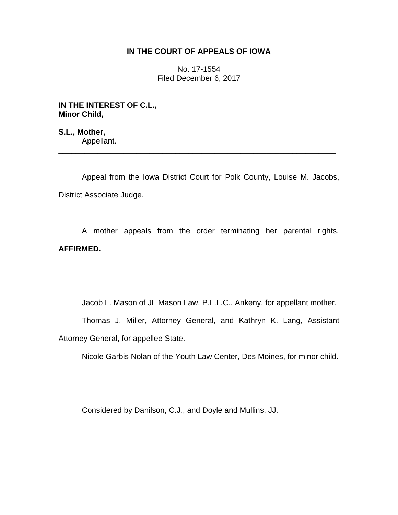## **IN THE COURT OF APPEALS OF IOWA**

No. 17-1554 Filed December 6, 2017

**IN THE INTEREST OF C.L., Minor Child,**

**S.L., Mother,** Appellant. \_\_\_\_\_\_\_\_\_\_\_\_\_\_\_\_\_\_\_\_\_\_\_\_\_\_\_\_\_\_\_\_\_\_\_\_\_\_\_\_\_\_\_\_\_\_\_\_\_\_\_\_\_\_\_\_\_\_\_\_\_\_\_\_

Appeal from the Iowa District Court for Polk County, Louise M. Jacobs, District Associate Judge.

A mother appeals from the order terminating her parental rights. **AFFIRMED.**

Jacob L. Mason of JL Mason Law, P.L.L.C., Ankeny, for appellant mother.

Thomas J. Miller, Attorney General, and Kathryn K. Lang, Assistant Attorney General, for appellee State.

Nicole Garbis Nolan of the Youth Law Center, Des Moines, for minor child.

Considered by Danilson, C.J., and Doyle and Mullins, JJ.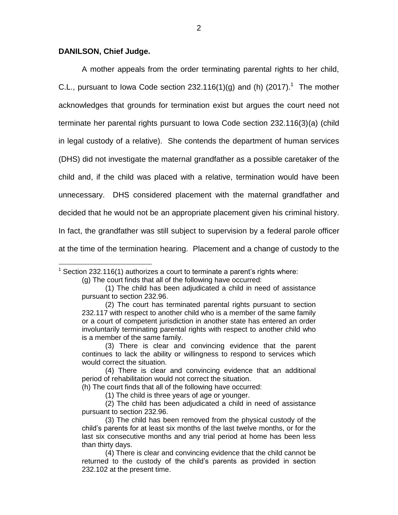## **DANILSON, Chief Judge.**

A mother appeals from the order terminating parental rights to her child, C.L., pursuant to lowa Code section 232.116(1)(g) and (h) (2017).<sup>1</sup> The mother acknowledges that grounds for termination exist but argues the court need not terminate her parental rights pursuant to Iowa Code section 232.116(3)(a) (child in legal custody of a relative). She contends the department of human services (DHS) did not investigate the maternal grandfather as a possible caretaker of the child and, if the child was placed with a relative, termination would have been unnecessary. DHS considered placement with the maternal grandfather and decided that he would not be an appropriate placement given his criminal history. In fact, the grandfather was still subject to supervision by a federal parole officer at the time of the termination hearing. Placement and a change of custody to the

 $\overline{a}$  $1$  Section 232.116(1) authorizes a court to terminate a parent's rights where:

<sup>(</sup>g) The court finds that all of the following have occurred:

<sup>(1)</sup> The child has been adjudicated a child in need of assistance pursuant to section 232.96.

<sup>(2)</sup> The court has terminated parental rights pursuant to section 232.117 with respect to another child who is a member of the same family or a court of competent jurisdiction in another state has entered an order involuntarily terminating parental rights with respect to another child who is a member of the same family.

<sup>(3)</sup> There is clear and convincing evidence that the parent continues to lack the ability or willingness to respond to services which would correct the situation.

<sup>(4)</sup> There is clear and convincing evidence that an additional period of rehabilitation would not correct the situation.

<sup>(</sup>h) The court finds that all of the following have occurred:

<sup>(1)</sup> The child is three years of age or younger.

<sup>(2)</sup> The child has been adjudicated a child in need of assistance pursuant to section 232.96.

<sup>(3)</sup> The child has been removed from the physical custody of the child's parents for at least six months of the last twelve months, or for the last six consecutive months and any trial period at home has been less than thirty days.

<sup>(4)</sup> There is clear and convincing evidence that the child cannot be returned to the custody of the child's parents as provided in section 232.102 at the present time.